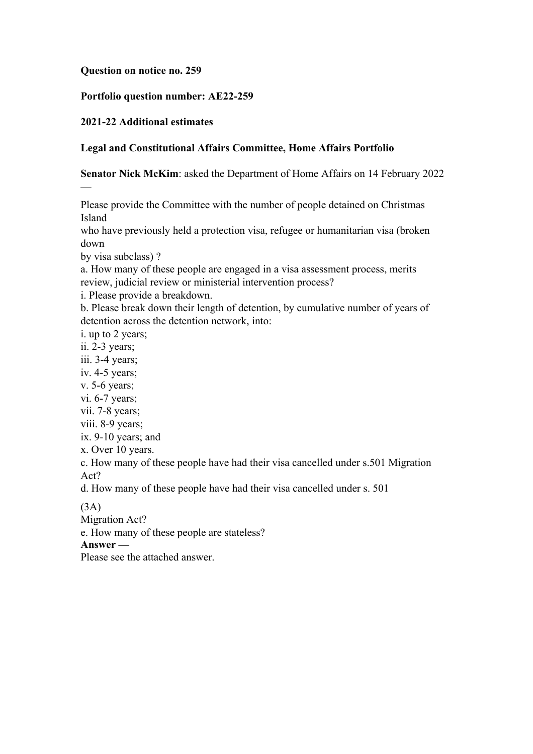#### **Question on notice no. 259**

# **Portfolio question number: AE22-259**

## **2021-22 Additional estimates**

## **Legal and Constitutional Affairs Committee, Home Affairs Portfolio**

**Senator Nick McKim**: asked the Department of Home Affairs on 14 February 2022

Please provide the Committee with the number of people detained on Christmas Island

who have previously held a protection visa, refugee or humanitarian visa (broken down

by visa subclass) ?

—

a. How many of these people are engaged in a visa assessment process, merits review, judicial review or ministerial intervention process?

i. Please provide a breakdown.

b. Please break down their length of detention, by cumulative number of years of detention across the detention network, into:

i. up to 2 years;

ii. 2-3 years;

iii. 3-4 years;

iv. 4-5 years;

v. 5-6 years;

vi. 6-7 years;

vii. 7-8 years;

viii. 8-9 years;

ix. 9-10 years; and

x. Over 10 years.

c. How many of these people have had their visa cancelled under s.501 Migration Act?

d. How many of these people have had their visa cancelled under s. 501

(3A)

Migration Act?

e. How many of these people are stateless?

**Answer —**

Please see the attached answer.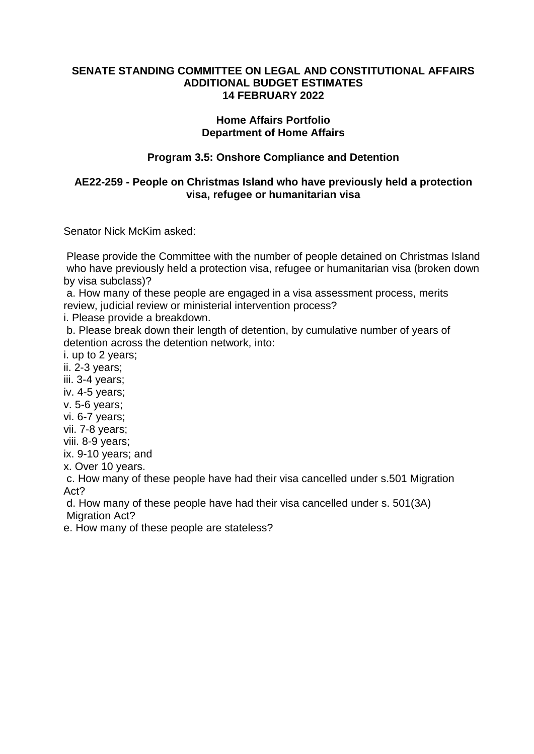#### **SENATE STANDING COMMITTEE ON LEGAL AND CONSTITUTIONAL AFFAIRS ADDITIONAL BUDGET ESTIMATES 14 FEBRUARY 2022**

## **Home Affairs Portfolio Department of Home Affairs**

# **Program 3.5: Onshore Compliance and Detention**

# **AE22-259 - People on Christmas Island who have previously held a protection visa, refugee or humanitarian visa**

Senator Nick McKim asked:

Please provide the Committee with the number of people detained on Christmas Island who have previously held a protection visa, refugee or humanitarian visa (broken down by visa subclass)?

a. How many of these people are engaged in a visa assessment process, merits review, judicial review or ministerial intervention process?

i. Please provide a breakdown.

b. Please break down their length of detention, by cumulative number of years of detention across the detention network, into:

i. up to 2 years;

ii. 2-3 years;

iii. 3-4 years;

iv. 4-5 years;

v. 5-6 years;

vi. 6-7 years;

vii. 7-8 years;

viii. 8-9 years;

ix. 9-10 years; and

x. Over 10 years.

c. How many of these people have had their visa cancelled under s.501 Migration Act?

d. How many of these people have had their visa cancelled under s. 501(3A) Migration Act?

e. How many of these people are stateless?